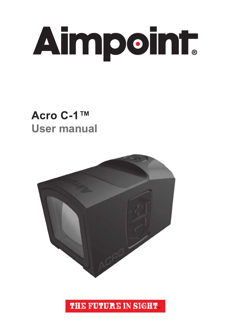

### **Acro C-1™ User manual**



**THE FUTURE IN SIGHT.**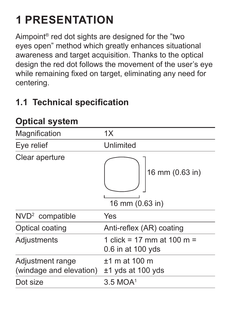# **1 PRESENTATION**

Aimpoint® red dot sights are designed for the "two eyes open" method which greatly enhances situational awareness and target acquisition. Thanks to the optical design the red dot follows the movement of the user's eye while remaining fixed on target, eliminating any need for centering.

#### **1.1 Technical specification**

| Magnification                               | 1X                                              |
|---------------------------------------------|-------------------------------------------------|
| Eye relief                                  | Unlimited                                       |
| Clear aperture                              | 16 mm (0.63 in)<br>16 mm (0.63 in)              |
| NVD <sup>2</sup> compatible                 | Yes                                             |
| Optical coating                             | Anti-reflex (AR) coating                        |
| Adjustments                                 | 1 click = 17 mm at 100 m =<br>0.6 in at 100 yds |
| Adjustment range<br>(windage and elevation) | $±1$ m at 100 m<br>$±1$ yds at 100 yds          |
| Dot size                                    | 3.5 MOA <sup>1</sup>                            |
|                                             |                                                 |

### **Optical system**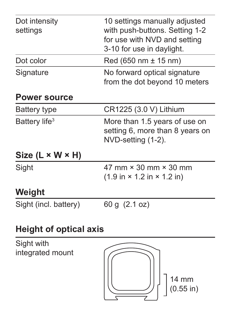| Dot intensity<br>settings      | 10 settings manually adjusted<br>with push-buttons. Setting 1-2<br>for use with NVD and setting<br>3-10 for use in daylight. |  |
|--------------------------------|------------------------------------------------------------------------------------------------------------------------------|--|
| Dot color                      | $Red (650 nm \pm 15 nm)$                                                                                                     |  |
| Signature                      | No forward optical signature<br>from the dot beyond 10 meters                                                                |  |
| <b>Power source</b>            |                                                                                                                              |  |
| Battery type                   | CR1225 (3.0 V) Lithium                                                                                                       |  |
| Battery life <sup>3</sup>      | More than 1.5 years of use on<br>setting 6, more than 8 years on<br>NVD-setting (1-2).                                       |  |
| Size (L × W × H)               |                                                                                                                              |  |
| Sight                          | 47 mm $\times$ 30 mm $\times$ 30 mm<br>$(1.9 \text{ in} \times 1.2 \text{ in} \times 1.2 \text{ in})$                        |  |
| Weight                         |                                                                                                                              |  |
| Sight (incl. battery)          | 60 g (2.1 oz)                                                                                                                |  |
| Height of optical axis         |                                                                                                                              |  |
| $C^{\dagger}$ akt $\ldots$ itk |                                                                                                                              |  |

Sight with integrated mount

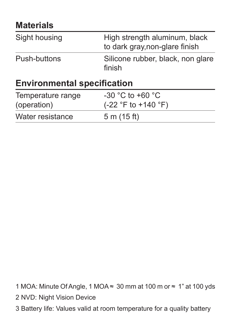#### **Materials**

| Sight housing                      | High strength aluminum, black<br>to dark gray, non-glare finish |  |
|------------------------------------|-----------------------------------------------------------------|--|
| Push-buttons                       | Silicone rubber, black, non glare<br>finish                     |  |
| <b>Environmental specification</b> |                                                                 |  |
| Temperature range<br>(operation)   | $-30$ °C to $+60$ °C<br>(-22 °F to +140 °F)                     |  |
| Water resistance                   | 5 m (15 ft)                                                     |  |

1 MOA: Minute Of Angle, 1 MOA ≈ 30 mm at 100 m or ≈ 1" at 100 yds

- 2 NVD: Night Vision Device
- 3 Battery life: Values valid at room temperature for a quality battery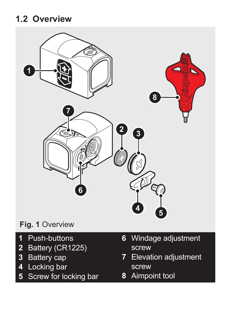#### **1.2 Overview**



- Push-buttons
- Battery (CR1225)
- Battery cap
- Locking bar
- Screw for locking bar
- Windage adjustment screw
- Elevation adjustment screw
- Aimpoint tool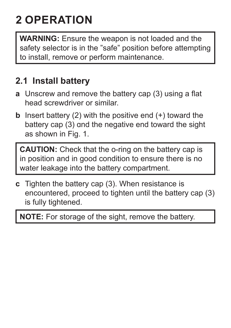## **2 OPERATION**

**WARNING:** Ensure the weapon is not loaded and the safety selector is in the "safe" position before attempting to install, remove or perform maintenance.

#### **2.1 Install battery**

- **a** Unscrew and remove the battery cap (3) using a flat head screwdriver or similar.
- **b** Insert battery (2) with the positive end (+) toward the battery cap (3) and the negative end toward the sight as shown in Fig. 1.

**CAUTION:** Check that the o-ring on the battery cap is in position and in good condition to ensure there is no water leakage into the battery compartment.

**c** Tighten the battery cap (3). When resistance is encountered, proceed to tighten until the battery cap (3) is fully tightened.

**NOTE:** For storage of the sight, remove the battery.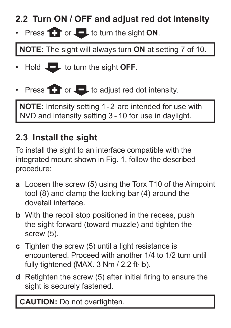#### **2.2 Turn ON / OFF and adjust red dot intensity**

• Press **the order of the sight ON**.

**NOTE:** The sight will always turn **ON** at setting 7 of 10.

- $\cdot$  Hold  $\Box$  to turn the sight **OFF**.
- Press  $\bullet$  or  $\bullet$  to adjust red dot intensity.

**NOTE:** Intensity setting 1-2 are intended for use with NVD and intensity setting 3 - 10 for use in daylight.

#### **2.3 Install the sight**

To install the sight to an interface compatible with the integrated mount shown in Fig. 1, follow the described procedure:

- **a** Loosen the screw (5) using the Torx T10 of the Aimpoint tool (8) and clamp the locking bar (4) around the dovetail interface.
- **b** With the recoil stop positioned in the recess, push the sight forward (toward muzzle) and tighten the screw (5).
- **c** Tighten the screw (5) until a light resistance is encountered. Proceed with another 1/4 to 1/2 turn until fully tightened (MAX, 3 Nm / 2.2 ft·lb).
- **d** Retighten the screw (5) after initial firing to ensure the sight is securely fastened.

**CAUTION:** Do not overtighten.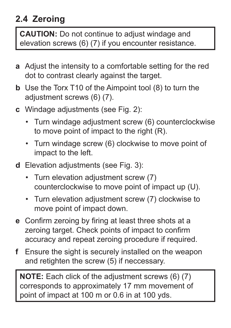#### **2.4 Zeroing**

**CAUTION:** Do not continue to adjust windage and elevation screws (6) (7) if you encounter resistance.

- **a** Adjust the intensity to a comfortable setting for the red dot to contrast clearly against the target.
- **b** Use the Torx T10 of the Aimpoint tool (8) to turn the adiustment screws (6) (7).
- **c** Windage adjustments (see Fig. 2):
	- Turn windage adjustment screw (6) counterclockwise to move point of impact to the right (R).
	- Turn windage screw (6) clockwise to move point of impact to the left.
- **d** Elevation adjustments (see [Fig.](#page-8-0) 3):
	- Turn elevation adjustment screw (7) counterclockwise to move point of impact up (U).
	- Turn elevation adjustment screw (7) clockwise to move point of impact down.
- **e** Confirm zeroing by firing at least three shots at a zeroing target. Check points of impact to confirm accuracy and repeat zeroing procedure if required.
- **f** Ensure the sight is securely installed on the weapon and retighten the screw (5) if neccessary.

**NOTE:** Each click of the adjustment screws (6) (7) corresponds to approximately 17 mm movement of point of impact at 100 m or 0.6 in at 100 yds.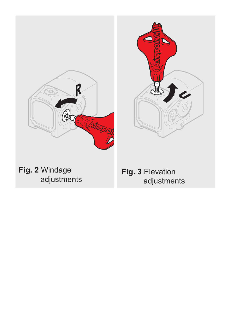

**Fig. 2** Windage adjustments

<span id="page-8-0"></span>**Fig. 3** Elevation adjustments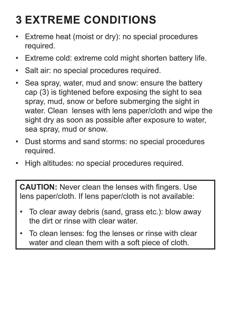## **3 EXTREME CONDITIONS**

- Extreme heat (moist or dry): no special procedures required.
- Extreme cold: extreme cold might shorten battery life.
- Salt air: no special procedures required.
- Sea spray, water, mud and snow: ensure the battery cap (3) is tightened before exposing the sight to sea spray, mud, snow or before submerging the sight in water. Clean lenses with lens paper/cloth and wipe the sight dry as soon as possible after exposure to water sea spray, mud or snow.
- Dust storms and sand storms: no special procedures required.
- High altitudes: no special procedures required.

**CAUTION:** Never clean the lenses with fingers. Use lens paper/cloth. If lens paper/cloth is not available:

- To clear away debris (sand, grass etc.): blow away the dirt or rinse with clear water.
- To clean lenses: fog the lenses or rinse with clear water and clean them with a soft piece of cloth.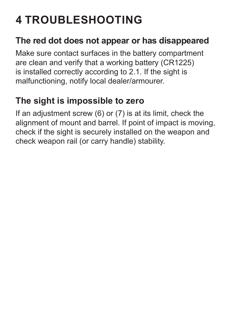## **4 TROUBLESHOOTING**

#### **The red dot does not appear or has disappeared**

Make sure contact surfaces in the battery compartment are clean and verify that a working battery (CR1225) is installed correctly according to 2.1. If the sight is malfunctioning, notify local dealer/armourer.

#### **The sight is impossible to zero**

If an adjustment screw  $(6)$  or  $(7)$  is at its limit, check the alignment of mount and barrel. If point of impact is moving, check if the sight is securely installed on the weapon and check weapon rail (or carry handle) stability.